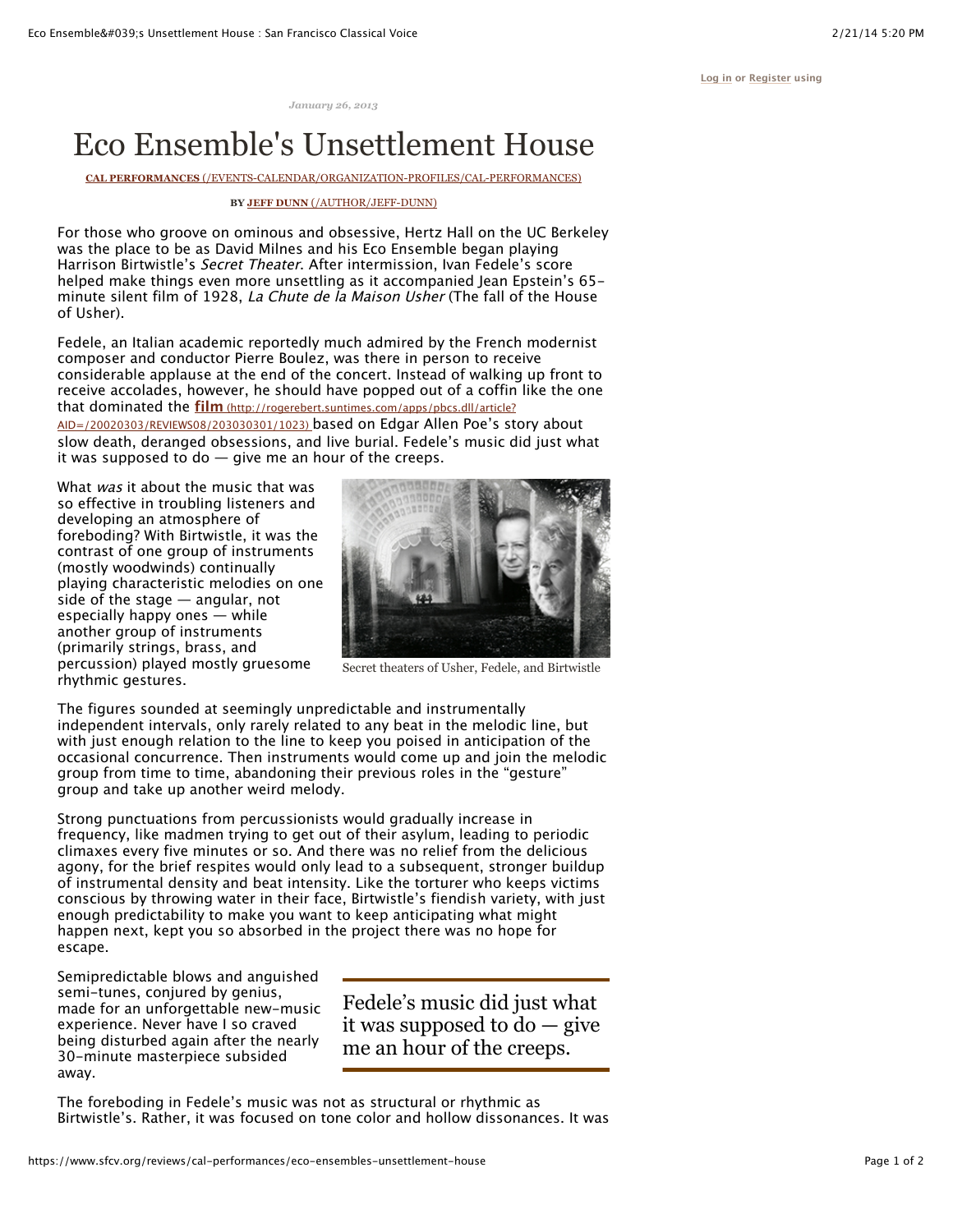**[Log in](https://www.sfcv.org/user?destination=node%2F34986) or [Register](https://www.sfcv.org/user/register?destination=node%2F34986) using**

*January 26, 2013*

## Eco Ensemble's Unsettlement House

**CAL PERFORMANCES** [\(/EVENTS-CALENDAR/ORGANIZATION-PROFILES/CAL-PERFORMANCES\)](https://www.sfcv.org/events-calendar/organization-profiles/cal-performances)

## **BY JEFF DUNN** [\(/AUTHOR/JEFF-DUNN\)](https://www.sfcv.org/author/jeff-dunn)

For those who groove on ominous and obsessive, Hertz Hall on the UC Berkeley was the place to be as David Milnes and his Eco Ensemble began playing Harrison Birtwistle's Secret Theater. After intermission, Ivan Fedele's score helped make things even more unsettling as it accompanied Jean Epstein's 65 minute silent film of 1928, La Chute de la Maison Usher (The fall of the House of Usher).

Fedele, an Italian academic reportedly much admired by the French modernist composer and conductor Pierre Boulez, was there in person to receive considerable applause at the end of the concert. Instead of walking up front to receive accolades, however, he should have popped out of a coffin like the one that dominated the **film** (http://rogerebert.suntimes.com/apps/pbcs.dll/article?

[AID=/20020303/REVIEWS08/203030301/1023\) based on Edgar Allen Poe's st](http://rogerebert.suntimes.com/apps/pbcs.dll/article?AID=/20020303/REVIEWS08/203030301/1023)ory about slow death, deranged obsessions, and live burial. Fedele's music did just what it was supposed to do  $-$  give me an hour of the creeps.

What was it about the music that was so effective in troubling listeners and developing an atmosphere of foreboding? With Birtwistle, it was the contrast of one group of instruments (mostly woodwinds) continually playing characteristic melodies on one side of the stage — angular, not especially happy ones — while another group of instruments (primarily strings, brass, and percussion) played mostly gruesome rhythmic gestures.



Secret theaters of Usher, Fedele, and Birtwistle

The figures sounded at seemingly unpredictable and instrumentally independent intervals, only rarely related to any beat in the melodic line, but with just enough relation to the line to keep you poised in anticipation of the occasional concurrence. Then instruments would come up and join the melodic group from time to time, abandoning their previous roles in the "gesture" group and take up another weird melody.

Strong punctuations from percussionists would gradually increase in frequency, like madmen trying to get out of their asylum, leading to periodic climaxes every five minutes or so. And there was no relief from the delicious agony, for the brief respites would only lead to a subsequent, stronger buildup of instrumental density and beat intensity. Like the torturer who keeps victims conscious by throwing water in their face, Birtwistle's fiendish variety, with just enough predictability to make you want to keep anticipating what might happen next, kept you so absorbed in the project there was no hope for escape.

Semipredictable blows and anguished semi-tunes, conjured by genius, made for an unforgettable new-music experience. Never have I so craved being disturbed again after the nearly 30-minute masterpiece subsided away.

Fedele's music did just what it was supposed to do — give me an hour of the creeps.

The foreboding in Fedele's music was not as structural or rhythmic as Birtwistle's. Rather, it was focused on tone color and hollow dissonances. It was